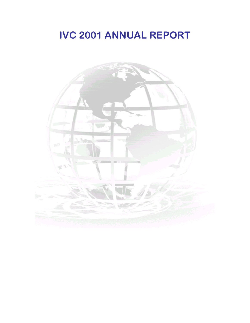# **IVC 2001 ANNUAL REPORT**

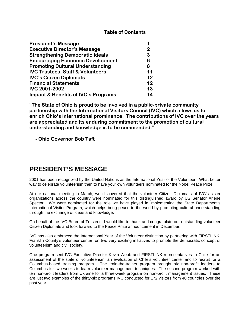#### **Table of Contents**

| <b>President's Message</b>                     |    |
|------------------------------------------------|----|
| <b>Executive Director's Message</b>            | 2  |
| <b>Strengthening Democratic Ideals</b>         | 3  |
| <b>Encouraging Economic Development</b>        | 6  |
| <b>Promoting Cultural Understanding</b>        | 8  |
| <b>IVC Trustees, Staff &amp; Volunteers</b>    | 11 |
| <b>IVC's Citizen Diplomats</b>                 | 12 |
| <b>Financial Statements</b>                    | 12 |
| <b>IVC 2001-2002</b>                           | 13 |
| <b>Impact &amp; Benefits of IVC's Programs</b> | 14 |

**"The State of Ohio is proud to be involved in a public-private community partnership with the International Visitors Council (IVC) which allows us to enrich Ohio's international prominence. The contributions of IVC over the years are appreciated and its enduring commitment to the promotion of cultural understanding and knowledge is to be commended."** 

 **- Ohio Governor Bob Taft**

## **PRESIDENT'S MESSAGE**

2001 has been recognized by the United Nations as the International Year of the Volunteer. What better way to celebrate volunteerism then to have your own volunteers nominated for the Nobel Peace Prize.

At our national meeting in March, we discovered that the volunteer Citizen Diplomats of IVC's sister organizations across the country were nominated for this distinguished award by US Senator Arlene Spector. We were nominated for the role we have played in implementing the State Department's International Visitor Program, which helps bring peace to the world by promoting cultural understanding through the exchange of ideas and knowledge.

On behalf of the IVC Board of Trustees, I would like to thank and congratulate our outstanding volunteer Citizen Diplomats and look forward to the Peace Prize announcement in December.

IVC has also embraced the International Year of the Volunteer distinction by partnering with FIRSTLINK, Franklin County's volunteer center, on two very exciting initiatives to promote the democratic concept of volunteerism and civil society.

One program sent IVC Executive Director Kevin Webb and FIRSTLINK representatives to Chile for an assessment of the state of volunteerism, an evaluation of Chile's volunteer center and to recruit for a Columbus-based training program. The train-the-trainer program brought six non-profit leaders to Columbus for two-weeks to learn volunteer management techniques. The second program worked with ten non-profit leaders from Ukraine for a three-week program on non-profit management issues. These are just two examples of the thirty-six programs IVC conducted for 172 visitors from 40 countries over the past year.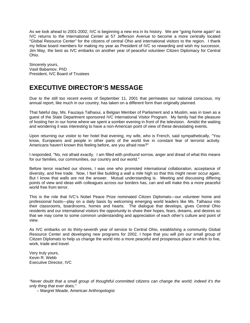As we look ahead to 2001-2002, IVC is beginning a new era in its history. We are "going home again" as IVC returns to the International Center at 57 Jefferson Avenue to become a more centrally located "Global Resource Center" for the citizens of central Ohio and international visitors to the region. I thank my fellow board members for making my year as President of IVC so rewarding and wish my successor, Jim May, the best as IVC embarks on another year of peaceful volunteer Citizen Diplomacy for Central Ohio.

Sincerely yours, Vasil Babamov, PhD President, IVC Board of Trustees

## **EXECUTIVE DIRECTOR'S MESSAGE**

Due to the still too recent events of September 11, 2001 that permeates our national conscious, my annual report, like much in our country, has taken on a different form than originally planned.

That fateful day, Ms. Fauzaya Talhaoui, a Belgian Member of Parliament and a Muslim, was in town as a guest of the State Department sponsored IVC International Visitor Program. My family had the pleasure of hosting her in our home where we spent a somber evening in front of the television. Amidst the waiting and wondering it was interesting to have a non-American point of view of these devastating events.

Upon returning our visitor to her hotel that evening, my wife, who is French, said sympathetically, "You know, Europeans and people in other parts of the world live in constant fear of terrorist activity. Americans haven't known this feeling before, are you afraid now?"

I responded, "No, not afraid exactly. I am filled with profound sorrow, anger and dread of what this means for our families, our communities, our country and our world."

Before terror reached our shores, I was one who promoted international collaboration, acceptance of diversity, and free trade. Now, I feel like building a wall a mile high so that this might never occur again. But I know that walls are not the answer. Mutual understanding is. Meeting and discussing differing points of view and ideas with colleagues across our borders has, can and will make this a more peaceful world free from terror

This is the role that IVC's Nobel Peace Prize nominated Citizen Diplomats—our volunteer home and professional hosts—play on a daily basis by welcoming emerging world leaders like Ms. Talhaoui into their classrooms, boardrooms, homes and hearts. The dialogue that develops, gives Central Ohio residents and our international visitors the opportunity to share their hopes, fears, dreams, and desires so that we may come to some common understanding and appreciation of each other's culture and point of view.

As IVC embarks on its thirty-seventh year of service to Central Ohio, establishing a community Global Resource Center and developing new programs for 2002, I hope that you will join our small group of Citizen Diplomats to help us change the world into a more peaceful and prosperous place in which to live, work, trade and travel.

Very truly yours, Kevin R. Webb Executive Director, IVC

*"Never doubt that a small group of thoughtful committed citizens can change the world; indeed it's the only thing that ever does."* 

– Margret Meade, American Anthropologist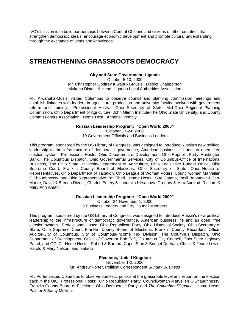IVC's mission is to build partnerships between Central Ohioans and citizens of other countries that strengthen democratic ideals, encourage economic development and promote cultural understanding through the exchange of ideas and knowledge.

## **STRENGTHENING GRASSROOTS DEMOCRACY**

#### **City and State Government, Uganda**

October 5-10, 2000 Mr. Christopher Godfrey Kiwanuka-Musisi, District Chairperson Mukono District & Head, Uganda Local Authorities Association

Mr. Kiwanuka-Musisi visited Columbus to observe council and planning commission meetings and establish linkages with leaders in agricultural production and university faculty involved with government reform and training. Professional Hosts: Ohio Secretary of State, Mid-Ohio Regional Planning Commission, Ohio Department of Agriculture, John Glenn Institute-The Ohio State University, and County Commissioners Association. Home Host: Annette Trembly.

#### **Russian Leadership Program: "Open World 2000"**

October 17-24, 2000 10 Government Officials and Business Leaders

This program, sponsored by the US Library of Congress, was designed to introduce Russia's new political leadership to the infrastructure of democratic governance, American business life and an open, free election system. Professional Hosts: Ohio Department of Development, Ohio Republic Party, Huntington Bank, The Columbus Dispatch, Ohio Governmental Services, City of Columbus-Office of International Business, The Ohio State University-Department of Agriculture, Ohio Legislative Budget Office, Ohio Supreme Court, Franklin County Board of Elections, Ohio Secretary of State, Ohio House of Representatives, Ohio Department of Taxation, Ohio League of Women Voters, Councilwoman Maryellen O'Shaughnessy, and Ohio Representative Pat Tiberi. Home Hosts: Sue Catana, Vasil Babamov & Terri Moore, David & Brenda Diener, Charles Emery & Luodmila Kirsanova, Gregory & Mira Axelrod, Richard & Mary Ann Amari.

> **Russian Leadership Program: "Open World 2000"**  October 24-November 1, 2000 5 Business Leaders and City Council Members

This program, sponsored by the US Library of Congress, was designed to introduce Russia's new political leadership to the infrastructure of democratic governance, American business life and an open, free election system. Professional Hosts: Ohio Republican Party, Ohio Historical Society, Ohio Secretary of State, Ohio Supreme Court, Franklin County Board of Elections, Franklin County Recorder's Office, Auditor-City of Columbus, City of Columbus-Income Tax Division, The Columbus Dispatch, Ohio Department of Development, Office of Governor Bob Taft, Columbus City Council, Ohio State Highway Patrol, and OCLC. Home Hosts: Robert & Barbara Cape, Stan & Bridget Durham, Chuck & Jeane Lewis, Harold & Mary Nelson, and Isabella.

#### **Elections, United Kingdom**

November 1-2, 2000 Mr. Andrew Porter, Political Correspondent *Sunday Business* 

Mr. Porter visited Columbus to observe domestic politics at the grassroots level and report on the election back in the UK. Professional Hosts: Ohio Republican Party, Councilwoman Maryellen O'Shaughnessy, Franklin County Board of Elections, Ohio Democratic Party, and *The Columbus Dispatch*. Home Hosts: Palmer & Barcy McNeal.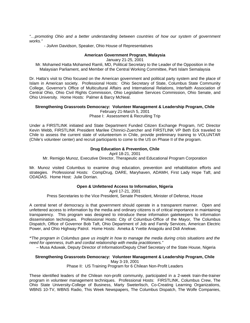*"…promoting Ohio and a better understanding between countries of how our system of government works."* 

- JoAnn Davidson, Speaker, Ohio House of Representatives

#### **American Government Program, Malaysia**

January 21-25, 2001

Mr. Mohamed Hatta Mohamed Ramli, MD, Political Secretary to the Leader of the Opposition in the Malaysian Parliament, and Member of the Central Working Committee, Parti Islam Semalaysia

Dr. Hatta's visit to Ohio focused on the American government and political party system and the place of Islam in American society. Professional Hosts: Ohio Secretary of State, Columbus State Community College, Governor's Office of Multicultural Affairs and International Relations, Interfaith Association of Central Ohio, Ohio Civil Rights Commission, Ohio Legislative Services Commission, Ohio Senate, and Ohio University. Home Hosts: Palmer & Barcy McNeal.

#### **Strengthening Grassroots Democracy: Volunteer Management & Leadership Program, Chile**  February 21-March 5, 2001

Phase I: Assessment & Recruiting Trip

Under a FIRSTLINK initiated and State Department Funded Citizen Exchange Program, IVC Director Kevin Webb, FIRSTLINK President Marilee Chinnici-Zuercher and FIRSTLINK VP Beth Eck traveled to Chile to assess the current state of volunteerism in Chile, provide preliminary training to VOLUNTAR (Chile's volunteer center) and recruit participants to come to the US on Phase II of the program.

#### **Drug Education & Prevention, Chile**

April 18-21, 2001

Mr. Remigio Munoz, Executive Director, Therapeutic and Educational Program Corporation

Mr. Munoz visited Columbus to examine drug education, prevention and rehabilitation efforts and strategies. Professional Hosts: CompDrug, DARE, Maryhaven, ADAMH, First Lady Hope Taft, and ODADAS. Home Host: Julie Dorrian.

#### **Open & Unfettered Access to Information, Nigeria**

April 17-21, 2001 Press Secretaries to the Vice President, Senate President, Minister of Defense, House

A central tenet of democracy is that government should operate in a transparent manner. Open and unfettered access to information by the media and ordinary citizens is of critical importance in maintaining transparency. This program was designed to introduce these information gatekeepers to information dissemination techniques. Professional Hosts: City of Columbus-Office of the Mayor, The Columbus Dispatch, Office of Governor Bob Taft, Ohio Department of Job and Family Services, American Electric Power, and Ohio Highway Patrol. Home Hosts: Ameka & Yvette Aniagolu and Didi Anekwe.

*"The program in Columbus gave us insight in how to manage the media during crisis situations and the need for openness, truth and cordial relationship with media practitioners."* 

– Musa Aduwak, Deputy Director of Information/Deputy Chief Secretary of the State House, Nigeria

#### **Strengthening Grassroots Democracy: Volunteer Management & Leadership Program, Chile**  May 3-19, 2001

Phase II: US Training Program for 6 Chilean Non-Profit Leaders

These identified leaders of the Chilean non-profit community, participated in a 2-week train-the-trainer program in volunteer management techniques. Professional Hosts: FIRSTLINK, Columbus Crew, The Ohio State University-College of Business, Marty Sweterlisch, Co-Creating Learning Organizations, WBNS 10-TV, WBNS Radio, This Week Newspapers, The Columbus Dispatch, The Wolfe Companies,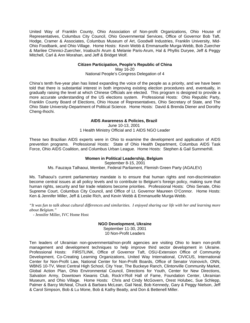United Way of Franklin County, Ohio Association of Non-profit Organizations, Ohio House of Representatives, Columbus City Council, Ohio Governmental Services, Office of Governor Bob Taft, Hodge, Cramer & Associates, Columbus Museum of Art, Goodwill Industries, Franklin University, Mid-Ohio Foodbank, and Ohio Village. Home Hosts: Kevin Webb & Emmanuelle Murga-Webb, Bob Zuercher & Marilee Chinnici-Zuercher, Iroabuchi Arum & Melanie Paris-Arum, Hal & Phyllis Duryee, Jeff & Peggy Mitchell, Carl & Ann Morahan, and Jeff & Bridget Wolf.

#### **Citizen Participation, People's Republic of China**

May 16-20

National People's Congress Delegation of 4

China's tenth five-year plan has listed expanding the voice of the people as a priority, and we have been told that there is substantial interest in both improving existing election procedures and, eventually, in gradually raising the level at which Chinese Officials are elected. This program is designed to provide a more accurate understanding of the US elections system. Professional Hosts: Ohio Republic Party, Franklin County Board of Elections, Ohio House of Representatives, Ohio Secretary of State, and The Ohio State University-Department of Political Science. Home Hosts: David & Brenda Diener and Dorothy Cheng-Ihochi.

#### **AIDS Awareness & Policies, Brazil**

June 10-13, 2001 1 Health Ministry Official and 1 AIDS NGO Leader

These two Brazilian AIDS experts were in Ohio to examine the development and application of AIDS prevention programs. Professional Hosts: State of Ohio Health Department, Columbus AIDS Task Force, Ohio AIDS Coalition, and Columbus Urban League. Home Hosts: Stephen & Gail Summerhill.

#### **Women in Political Leadership, Belgium**

September 8-15, 2001

#### Ms. Fauzaya Talhaoui, Member, Federal Parliament, Flemish Green Party (AGALEV)

Ms. Talhaoui's current parliamentary mandate is to ensure that human rights and non-discrimination become central issues at all policy levels and to contribute to Belgium's foreign policy, making sure that human rights, security and fair trade relations become priorities. Professional Hosts: Ohio Senate, Ohio Supreme Court, Columbus City Council, and Office of Lt. Governor Maureen O'Connor. Home Hosts: Ken & Jennifer Miller, Jeff & Leslie Rich, and Kevin Webb & Emmanuelle Murga-Webb.

*"It was fun to talk about cultural differences and similarities. I enjoyed sharing our life with her and learning more about Belgium."* 

- Jennifer Miller, IVC Home Host

#### **NGO Development, Ukraine**

September 11-30, 2001 10 Non-Profit Leaders

Ten leaders of Ukrainian non-governmental/non-profit agencies are visiting Ohio to learn non-profit management and development techniques to help improve third sector development in Ukraine. Professional Hosts: FIRSTLINK, Office of Governor Taft, OSU-Extension Office of Community Development, Co-Creating Learning Organizations, United Way International, CIVICUS, International Center for Non-Profit Law, National Center for Non-Profit Boards, Office of Senator Voinovich, ONN, WBNS 10-TV, West Central High School, City Year, The Buckeye Ranch, Clintonville Community Market, Global Action Plan, Ohio Environmental Council, Directions for Youth, Center for New Directions, Salvation Army, Downtown Kiwanis Club, Rock'n'Roll Hall of Fame, Foundation Center, Ukrainian Museum, and Ohio Village. Home Hosts: Chris and Cindy McGovern, Orest Holubec, Sue Schlepp, Palmer & Barcy McNeal, Chuck & Barbara McLean, Gail Neal, Bob Kennedy, Gary & Peggy Nielson, Jeff & Carol Simpson, Bob & Lu Mone, Bob & Kathy Beatty, and Don & Bettenell Miller.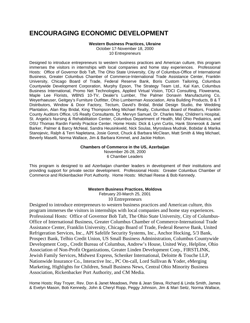## **ENCOURAGING ECONOMIC DEVELOPMENT**

#### **Western Business Practices, Ukraine**

October 17-November 18, 2000 10 Entrepreneurs

Designed to introduce entrepreneurs to western business practices and American culture, this program immerses the visitors in internships with local companies and home stay experiences. Professional Hosts: Office of Governor Bob Taft, The Ohio State University, City of Columbus-Office of International Business, Greater Columbus Chamber of Commerce-International Trade Assistance Center, Franklin University, Chicago Board of Trade, Federal Reserve Bank, Boris Custom Tailoring, Columbus Countywide Development Corporation, Murphy Epson, The Strategy Team Ltd., Kal Kan, Columbus Business International, Promo Net Technologies, Applied Virtual Vision, TDCI Consulting, Flowerama, Maple Lee Florists, WBNS 10-TV, Dealer's Lumber, The Palmer Donavin Manufacturing Co, Weyerhaeuser, Geitgey's Furniture Outfitter, Ohio Lumberman Association, Atria Building Products, B & T Distributors, Window & Door Factory, Tectum, David's Bridal, Bridal Design Studio, the Wedding Plantation, Alan Ray Bridal, King Thompson-Meg Michael Realty, Columbus Board of Realtors, Franklin County Auditors Office, US Realty Consultants, Dr. Mervyn Samuel, Dr. Charles May, Children's Hospital, St. Angela's Nursing & Rehabilitation Center, Columbus Department of Health, Mid Ohio Pediatrics, and OSU Thomas Rardin Family Practice Center. Home Hosts: Dick & Lynn Curtis, Hank Stonerook & Janet Barker, Palmer & Barcy McNeal, Sandra Heusinkveld, Nick Soulas, Myroslava Mudrak, Bobidar & Marika Stanojevic, Ralph & Terri Napletana, Josie Gonot, Chuck & Barbara McClean, Matt Smith & Meg Michael, Beverly Maselli, Norma Wallace, Jim & Barbara Kimmel, and Jackie Holton.

#### **Chambers of Commerce in the US, Azerbaijan**

November 26-28, 2000 6 Chamber Leaders

This program is designed to aid Azerbaijan chamber leaders in development of their institutions and providing support for private sector development. Professional Hosts: Greater Columbus Chamber of Commerce and Rickenbacker Port Authority. Home Hosts: Michael Reese & Bob Kennedy.

#### **Western Business Practices, Moldova**

February 20-March 25, 2001

10 Entrepreneurs

Designed to introduce entrepreneurs to western business practices and American culture, this program immerses the visitors in internships with local companies and home stay experiences. Professional Hosts: Office of Governor Bob Taft, The Ohio State University, City of Columbus-Office of International Business, Greater Columbus Chamber of Commerce-International Trade Assistance Center, Franklin University, Chicago Board of Trade, Federal Reserve Bank, United Refrigeration Services, Inc., API Safelife Security Systems, Inc., Anchor Hocking, 5/3 Bank, Prospect Bank, Telhio Credit Union, US Small Business Administration, Columbus Countywide Development Corp., Credit Bureau of Columbus, Andrew's House, United Way, Helpline, Ohio Association of Non-Profit Organizations, Greater Linden Development Corp., FIRSTLINK, Jewish Family Services, Midwest Express, Schenker International, Deloitte & Touche LLP, Nationwide Insurance Co., Interactive Inc., PC On-call, Lord Sullivan & Yoder, eMerging Marketing, Highlights for Children, Small Business News, Central Ohio Minority Business Association, Rickenbacker Port Authority, and CM Media.

Home Hosts: Ray Troyer, Rev. Don & Janet Meadows, Pete & Jean Steva, Richard & Linda Smith, James & Evelyn Mason, Bob Kennedy, John & Cheryl Ropp, Peggy Johnson, Jim & Mari Seitz, Norma Wallace,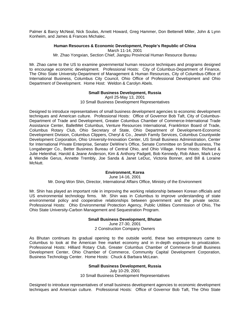Palmer & Barcy McNeal, Nick Soulas, Arnett Howard, Greg Hammer, Don Bettenell Miller, John & Lynn Konheim, and James & Frances Michalec.

#### **Human Resources & Economic Development, People's Republic of China**

March 11-14, 2001

Mr. Zhao Yongxian, Section Chief, Jiangsu Provincial Human Resource Bureau

Mr. Zhao came to the US to examine governmental human resource techniques and programs designed to encourage economic development. Professional Hosts: City of Columbus-Department of Finance, The Ohio State University-Department of Management & Human Resources, City of Columbus-Office of International Business, Columbus City Council, Ohio Office of Professional Development and Ohio Department of Development. Home Host: Weldon & Carolyn Abels.

#### **Small Business Development, Russia**

April 25-May 13, 2001 10 Small Business Development Representatives

Designed to introduce representatives of small business development agencies to economic development techniques and American culture. Professional Hosts: Office of Governor Bob Taft, City of Columbus-Department of Trade and Development, Greater Columbus Chamber of Commerce-International Trade Assistance Center, BalletMet Columbus, Venture Resources International, Franklinton Board of Trade, Columbus Rotary Club, Ohio Secretary of State, Ohio Department of Development-Economic Development Division, Columbus Clippers, Cheryl & Co., Jewish Family Services, Columbus Countywide Development Corporation, Ohio University-Innovation Center, US Small Business Administration, Center for International Private Enterprise, Senator DeWine's Office, Senate Committee on Small Business, The Longaberger Co., Better Business Bureau of Central Ohio, and Ohio Village. Home Hosts: Richard & Julie Helenthal, Harold & Jeane Anderson, Kim & Anthony Padgett, Bob Kennedy, Rob Aiken, Mark Levy & Wendie Gerus, Annette Trembly, Joe Sanda & Janet LeDuc, Victoria Bonner, and Bill & Loraine McNutt.

#### **Environment, Korea**

June 14-16, 2001 Mr. Dong-Won Shin, Director, International Affairs Office, Ministry of the Environment

Mr. Shin has played an important role in improving the working relationship between Korean officials and US environmental technology firms. Mr. Shin was in Columbus to improve understanding of state environmental policy and cooperative relationships between government and the private sector. Professional Hosts: Ohio Environmental Protection Agency, Public Utilities Commission of Ohio, The Ohio State University-Carbon Management and Sequestration Program.

#### **Small Business Development, Bhutan**

June 27-30, 2001 2 Construction Company Owners

As Bhutan continues its gradual opening to the outside world, these two entrepreneurs came to Columbus to look at the American free market economy and in in-depth exposure to privatization. Professional Hosts: Hilliard Rotary Club, Greater Columbus Chamber of Commerce-Small Business Development Center, Ohio Chamber of Commerce, Community Capital Development Corporation, Business Technology Center. Home Hosts: Chuck & Barbara McLean.

#### **Small Business Development, Russia**

July 10-29, 2001 10 Small Business Development Representatives

Designed to introduce representatives of small business development agencies to economic development techniques and American culture. Professional Hosts: Office of Governor Bob Taft, The Ohio State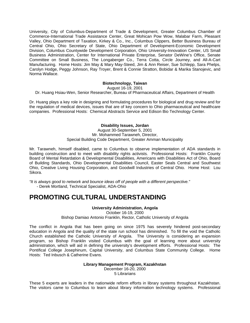University, City of Columbus-Department of Trade & Development, Greater Columbus Chamber of Commerce-International Trade Assistance Center, Great Mohican Pow Wow, Malabar Farm, Pleasant Valley, Ohio Department of Taxation, Kirkey & Co., Inc., Columbus Clippers, Better Business Bureau of Central Ohio, Ohio Secretary of State, Ohio Department of Development-Economic Development Division, Columbus Countywide Development Corporation, Ohio University-Innovation Center, US Small Business Administration, Center for International Private Enterprise, Senator DeWine's Office, Senate Committee on Small Business, The Longaberger Co., Terra Cotta, Circle Journey, and All-A-Cart Manufacturing. Home Hosts: Jim May & Mary May-Steed, Jim & Ann Reiser, Sue Schlepp, Sara Phelps, Carolyn Hodge, Peggy Johnson, Ray Troyer, Brent & Connie Stratton, Bobidar & Marika Stanojevic, and Norma Wallace.

#### **Biotechnology, Taiwan**

August 16-19, 2001

Dr. Huang Hsiau-Wen, Senior Researcher, Bureau of Pharmaceutical Affairs, Department of Health

Dr. Huang plays a key role in designing and formulating procedures for biological and drug review and for the regulation of medical devices, issues that are of key concern to Ohio pharmaceutical and healthcare companies. Professional Hosts: Chemical Abstracts Service and Edison Bio Technology Center.

#### **Disability Issues, Jordan**

August 30-September 5, 2001 Mr. Mohammed Tarawneh, Director, Special Building Code Department, Greater Amman Municipality

Mr. Tarawneh, himself disabled, came to Columbus to observe implementation of ADA standards in building construction and to meet with disability rights activists. Professional Hosts: Franklin County Board of Mental Retardation & Developmental Disabilities, Americans with Disabilities Act of Ohio, Board of Building Standards, Ohio Developmental Disabilities Council, Easter Seals Central and Southwest Ohio, Creative Living Housing Corporation, and Goodwill Industries of Central Ohio. Home Host: Lou Sikora.

*"It is always good to network and bounce ideas off of people with a different perspective."*  - Derek Mortland, Technical Specialist, ADA-Ohio

### **PROMOTING CULTURAL UNDERSTANDING**

#### **University Administration, Angola**

October 16-19, 2000

Bishop Damiao Antonio Franklin, Rector, Catholic University of Angola

The conflict in Angola that has been going on since 1975 has severely hindered post-secondary education in Angola and the quality of the state run school has diminished. To fill the void the Catholic Church established the Catholic University of Angola. The University is considering an expansion program, so Bishop Franklin visited Columbus with the goal of learning more about university administration, which will aid in defining the university's development efforts. Professional Hosts: The Pontifical College Josephinum, Capital University, and Columbus State Community College. Home Hosts: Ted Inbusch & Catherine Evans.

### **Library Management Program, Kazakhstan**

December 16-20, 2000 5 Librarians

These 5 experts are leaders in the nationwide reform efforts in library systems throughout Kazakhstan. The visitors came to Columbus to learn about library information technology systems. Professional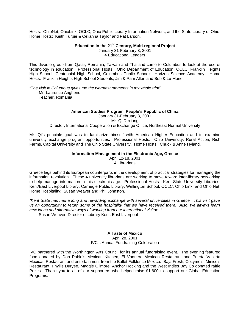Hosts: OhioNet, OhioLink, OCLC, Ohio Public Library Information Network, and the State Library of Ohio. Home Hosts: Keith Turpie & Celianna Taylor and Pat Larson.

#### **Education in the 21st Century, Multi-regional Project**

January 31-February 3, 2001 4 Educational Leaders

This diverse group from Qatar, Romania, Taiwan and Thailand came to Columbus to look at the use of technology in education. Professional Hosts: Ohio Department of Education, OCLC, Franklin Heights High School, Centennial High School, Columbus Public Schools, Horizon Science Academy. Home Hosts: Franklin Heights High School Students, Jim & Pam Allen and Bob & Lu Mone.

*"The visit in Columbus gives me the warmest moments in my whole trip!"* - Mr. Laurentiu Anghene

Teacher, Romania

#### A**merican Studies Program, People's Republic of China**

January 31-February 3, 2001 Mr. Qi Dexiang Director, International Cooperation & Exchange Office, Northeast Normal University

Mr. Qi's principle goal was to familiarize himself with American Higher Education and to examine university exchange program opportunities. Professional Hosts: Ohio University, Rural Action, Rich Farms, Capital University and The Ohio State University. Home Hosts: Chuck & Anne Hyland.

#### **Information Management in the Electronic Age, Greece**

April 12-18, 2001 4 Librarians

Greece lags behind its European counterparts in the development of practical strategies for managing the information revolution. These 4 university librarians are working to move toward inter-library networking to help manage information in this electronic age. Professional Hosts: Kent State University Libraries, Kent/East Liverpool Library, Carnegie Public Library, Wellington School, OCLC, Ohio Link, and Ohio Net. Home Hospitality: Susan Weaver and Phil Johnston.

*"Kent State has had a long and rewarding exchange with several universities in Greece. This visit gave us an opportunity to return some of the hospitality that we have received there. Also, we always learn new ideas and alternative ways of working from our international visitors."*

- Susan Weaver, Director of Library Kent, East Liverpool

#### **A Taste of Mexico**

#### April 28, 2001 IVC's Annual Fundraising Celebration

IVC partnered with the Worthington Arts Council for its annual fundraising event. The evening featured food donated by Don Pablo's Mexican Kitchen, El Vaquero Mexican Restaurant and Puerta Vallerta Mexican Restaurant and entertainment from the Ballet Folklorico Mexico. Baja Fresh, Cozymels, Minico's Restaurant, Phyllis Duryee, Maggie Gilmore, Anchor Hocking and the West Indies Bay Co donated raffle Prizes. Thank you to all of our supporters who helped raise \$1,600 to support our Global Education Programs.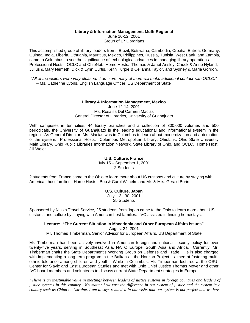#### **Library & Information Management, Multi-Regional**

June 10-12, 2001 Group of 17 Librarians

This accomplished group of library leaders from: Brazil, Botswana, Cambodia, Croatia, Eritrea, Germany, Guinea, India, Liberia, Lithuania, Mauritius, Mexico, Philippines, Russia, Tunisia, West Bank, and Zambia, came to Columbus to see the significance of technological advances in managing library operations. Professional Hosts: OCLC and OhioNet. Home Hosts: Thomas & Janet Ansley, Chuck & Anne Hyland, Julius & Mary Nemeth, Dick & Lynn Curtis, Keith Turpie & Celianna Taylor, and Sydney & Maria Gordon.

*"All of the visitors were very pleased. I am sure many of them will make additional contact with OCLC."*  – Ms. Catherine Lyons, English Language Officer, US Department of State

#### **Library & Information Management, Mexico**

June 12-14, 2001 Ms. Rosalita Del Carmen Macias General Director of Libraries, University of Guanajuato

With campuses in ten cities, 44 library branches and a collection of 300,000 volumes and 500 periodicals, the University of Guanajuato is the leading educational and informational system in the region. As General Director, Ms. Macias was in Columbus to learn about modernization and automation of the system. Professional Hosts: Columbus Metropolitan Library, OhioLink, Ohio State University Main Library, Ohio Public Libraries Information Network, State Library of Ohio, and OCLC. Home Host: Jill Welch.

#### **U.S. Culture, France**

July 15 – September 1, 2001 2 Students

2 students from France came to the Ohio to learn more about US customs and culture by staying with American host families. Home Hosts: Bob & Carol Wilhelm and Mr. & Mrs. Gerald Borin.

#### **U.S. Culture, Japan**  July 13– 30, 2001 25 Students

Sponsored by Nissin Travel Service, 25 students from Japan came to the Ohio to learn more about US customs and culture by staying with American host families. IVC assisted in finding homestays.

#### **Lecture: "The Current Situation in Macedonia and Other European Affairs Issues"**  August 24, 2001

Mr. Thomas Timberman, Senior Advisor for European Affairs, US Department of State

Mr. Timberman has been actively involved in American foreign and national security policy for over twenty-five years, serving in Southeast Asia, NATO Europe, South Asia and Africa. Currently, Mr. Timberman chairs the State Department's Working Group on Defense and Trade. He is also charged with implementing a long-term program in the Balkans – the Horizon Project – aimed at fostering multiethnic tolerance among children and youth. While in Columbus, Mr. Timberman lectured at the OSU-Center for Slavic and East European Studies and met with Ohio Chief Justice Thomas Moyer and other IVC board members and volunteers to discuss current State Department strategies in Europe.

*"There is an inestimable value in meetings between leaders of justice systems in foreign countries and leaders of justice systems in this country. No matter how vast the difference in our system of justice and the system in a country such as China or Ukraine, I am always reminded in our visits that our system is not perfect and we have*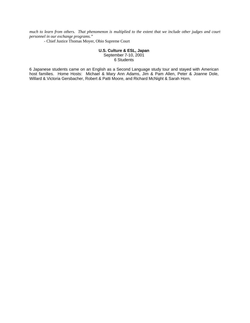*much to learn from others. That phenomenon is multiplied to the extent that we include other judges and court personnel in our exchange programs."* 

- Chief Justice Thomas Moyer, Ohio Supreme Court

#### **U.S. Culture & ESL, Japan**  September 7-10, 2001

6 Students

6 Japanese students came on an English as a Second Language study tour and stayed with American host families. Home Hosts: Michael & Mary Ann Adams, Jim & Pam Allen, Peter & Joanne Dole, Willard & Victoria Gersbacher, Robert & Patti Moore, and Richard McNight & Sarah Horn.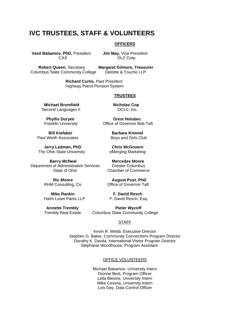## **IVC TRUSTEES, STAFF & VOLUNTEERS**

#### **OFFICERS**

 **Vasil Babamov, PhD,** President **Jim May,** Vice President

CAS DLZ Corp.

 **Robert Queen,** Secretary **Margaret Gilmore, Treasurer**  Columbus State Community College

> **Richard Curtis**, Past President Highway Patrol Pension System

#### **TRUSTEES**

**Michael Brumfield Micholas Cop** Second Languages II COCLC, Inc.

**Bill Kiefaber Barbara Kimmel Constructs** Paul Werth Associates **Boys and Girls Club** 

 **Jerry Ladman, PhD Chris McGovern**  The Ohio State University **Example 20 Figure 2018** eMerging Marketing

**Barcy McNeal Mercedes Moore** Department of Administrative Services Greater Columbus<br>State of Ohio Chamber of Commer

RHM Consulting, Co.

 **Mike Rankin F. David Resch** 

**Phyllis Duryee Change Corest Holubec<br>Franklin University Coffice of Governor Bore** Office of Governor Bob Taft

Chamber of Commerce

**Ric Moore 6 20 August Pust, PhD<br>I Consulting. Co. 6 20 August Pullet Poly Consulting.** 

F. David Resch, Esq.

**Annette Trembly Pieter Wycoff** Trembly Real EstateColumbus State Community College

#### **STAFF**

Kevin R. Webb, Executive Director Stephen G. Baker, Community Connections Program Director Dorothy K. Davda, International Visitor Program Director Stephanie Woodhouse, Program Assistant

#### OFFICE VOLUNTEERS

Michael Babamov, University Intern Dionne Best, Program Officer Leila Blevins, University Intern Mike Cessna, University Intern Lois Day, Data Control Officer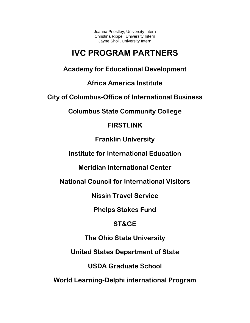Joanna Priestley, University Intern Christina Rippel, University Intern Jayne Sholl, University Intern

## **IVC PROGRAM PARTNERS**

**Academy for Educational Development** 

**Africa America Institute** 

**City of Columbus-Office of International Business** 

**Columbus State Community College** 

## **FIRSTLINK**

**Franklin University** 

**Institute for International Education** 

**Meridian International Center** 

**National Council for International Visitors** 

**Nissin Travel Service** 

**Phelps Stokes Fund** 

## **ST&GE**

**The Ohio State University** 

**United States Department of State** 

**USDA Graduate School** 

**World Learning-Delphi international Program**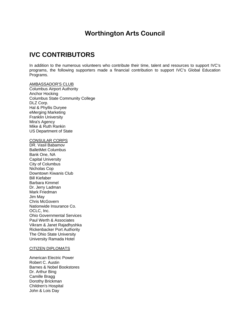## **Worthington Arts Council**

## **IVC CONTRIBUTORS**

In addition to the numerous volunteers who contribute their time, talent and resources to support IVC's programs, the following supporters made a financial contribution to support IVC's Global Education Programs.

#### AMBASSADOR'S CLUB

Columbus Airport Authority Anchor Hocking Columbus State Community College DLZ Corp. Hal & Phyllis Duryee eMerging Marketing Franklin University Mira's Agency Mike & Ruth Rankin US Department of State

#### CONSULAR CORPS

DR. Vasil Babamov BalletMet Columbus Bank One, NA Capital University City of Columbus Nicholas Cop Downtown Kiwanis Club Bill Kiefaber Barbara Kimmel Dr. Jerry Ladman Mark Friedman Jim May Chris McGovern Nationwide Insurance Co. OCLC, Inc. Ohio Governmental Services Paul Werth & Associates Vikram & Janet Rajadhyshka Rickenbacker Port Authority The Ohio State University University Ramada Hotel

#### CITIZEN DIPLOMATS

American Electric Power Robert C. Austin Barnes & Nobel Bookstores Dr. Arthur Bing Camille Bragg Dorothy Brickman Children's Hospital John & Lois Day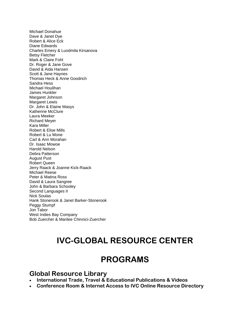Michael Donahue Dave & Janet Dye Robert & Alice Eck Diane Edwards Charles Emery & Luodmila Kirsanova Betsy Fletcher Mark & Claire Fohl Dr. Roger & Jane Gove David & Aida Hansen Scott & Jane Haynes Thomas Heck & Anne Goodrich Sandra Hess Michael Houlihan James Hunkler Margaret Johnson Margaret Lewis Dr. John & Elaine Masys Katherine McClure Laura Meeker Richard Meyer Kara Miller Robert & Elise Mills Robert & Lu Mone Carl & Ann Morahan Dr. Isaac Mowoe Harold Nelson Debra Patterson August Pust Robert Queen Jerry Raack & Joanne Kick-Raack Michael Reese Peter & Matina Ross David & Laura Sangree John & Barbara Schooley Second Languages II Nick Soulas Hank Stonerook & Janet Barker-Stonerook Peggy Stumpf Jon Tabor West Indies Bay Company Bob Zuercher & Marilee Chinnici-Zuercher

## **IVC-GLOBAL RESOURCE CENTER**

## **PROGRAMS**

### **Global Resource Library**

- **International Trade, Travel & Educational Publications & Videos**
- **Conference Room & Internet Access to IVC Online Resource Directory**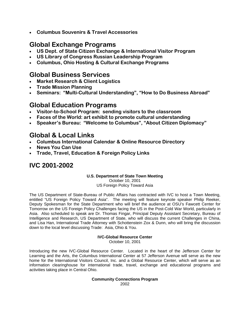• **Columbus Souvenirs & Travel Accessories** 

## **Global Exchange Programs**

- **US Dept. of State Citizen Exchange & International Visitor Program**
- **US Library of Congress Russian Leadership Program**
- **Columbus, Ohio Hosting & Cultural Exchange Programs**

## **Global Business Services**

- **Market Research & Client Logistics**
- **Trade Mission Planning**
- **Seminars: "Multi-Cultural Understanding", "How to Do Business Abroad"**

## **Global Education Programs**

- **Visitor-to-School Program: sending visitors to the classroom**
- **Faces of the World: art exhibit to promote cultural understanding**
- **Speaker's Bureau: "Welcome to Columbus", "About Citizen Diplomacy"**

## **Global & Local Links**

- **Columbus International Calendar & Online Resource Directory**
- **News You Can Use**
- **Trade, Travel, Education & Foreign Policy Links**

## **IVC 2001-2002**

### **U.S. Department of State Town Meeting**

October 10, 2001 US Foreign Policy Toward Asia

The US Department of State-Bureau of Public Affairs has contracted with IVC to host a Town Meeting, entitled "US Foreign Policy Toward Asia". The meeting will feature keynote speaker Philip Reeker, Deputy Spokesman for the State Department who will brief the audience at OSU's Fawcett Center for Tomorrow on the US Foreign Policy Challenges facing the US in the Post-Cold War World, particularly in Asia. Also scheduled to speak are Dr. Thomas Fingar, Principal Deputy Assistant Secretary, Bureau of Intelligence and Research, US Department of State, who will discuss the current Challenges in China, and Lisa Han, International Trade Attorney with Schottenstein Zox & Dunn, who will bring the discussion down to the local level discussing Trade: Asia, Ohio & You.

#### **IVC-Global Resource Center**  October 10, 2001

Introducing the new IVC-Global Resource Center. Located in the heart of the Jefferson Center for Learning and the Arts, the Columbus International Center at 57 Jefferson Avenue will serve as the new home for the International Visitors Council, Inc. and a Global Resource Center, which will serve as an information clearinghouse for international trade, travel, exchange and educational programs and activities taking place in Central Ohio.

#### **Community Connections Program**  2002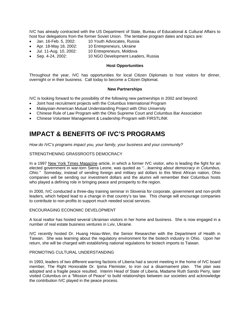IVC has already contracted with the US Department of State, Bureau of Educational & Cultural Affairs to host four delegations from the former Soviet Union. The tentative program dates and topics are:

- Jan. 16-Feb. 5, 2002: 10 Youth Advocates, Russia
- Apr. 18-May 18, 2002: 10 Entrepreneurs, Ukraine
- Jul. 11-Aug. 10, 2002: 10 Entrepreneurs, Moldova
- Sep. 4-24, 2002: 10 NGO Development Leaders, Russia

#### **Host Opportunities**

Throughout the year, IVC has opportunities for local Citizen Diplomats to host visitors for dinner, overnight or in their business. Call today to become a Citizen Diplomat.

#### **New Partnerships**

IVC is looking forward to the possibility of the following new partnerships in 2002 and beyond:

- Joint host recruitment projects with the Columbus International Program
- Malaysian-American Mutual Understanding Project with Ohio University
- Chinese Rule of Law Program with the Ohio Supreme Court and Columbus Bar Association
- Chinese Volunteer Management & Leadership Program with FIRSTLINK

## **IMPACT & BENEFITS OF IVC'S PROGRAMS**

*How do IVC's programs impact you, your family, your business and your community?*

#### STRENGTHENING GRASSROOTS DEMOCRACY

In a 1997 New York Times Magazine article, in which a former IVC visitor, who is leading the fight for an elected government in war-torn Sierra Leone, was quoted as *"…learning about democracy in Columbus, Ohio."* Someday, instead of sending foreign and military aid dollars to this West African nation, Ohio companies will be sending our investment dollars and the alumni will remember their Columbus hosts who played a defining role in bringing peace and prosperity to the region.

In 2000, IVC conducted a three-day training seminar in Slovenia for corporate, government and non-profit leaders, which helped lead to a change in that country's tax law. This change will encourage companies to contribute to non-profits to support much needed social services.

#### ENCOURAGING ECONOMIC DEVELOPMENT

A local realtor has hosted several Ukrainian visitors in her home and business. She is now engaged in a number of real estate business ventures in Lviv, Ukraine.

IVC recently hosted Dr. Huang Hsiau-Wen, the Senior Researcher with the Department of Health in Taiwan. She was learning about the regulatory environment for the biotech industry in Ohio. Upon her return, she will be charged with establishing national regulations for biotech imports to Taiwan.

#### PROMOTING CULTURAL UNDERSTANDING

In 1993, leaders of two different warring factions of Liberia had a secret meeting in the home of IVC board member, The Right Honorable Dr. Ijoma Flemister, to iron out a disarmament plan. The plan was adopted and a fragile peace resulted. Interim Head of State of Liberia, Madame Ruth Sando Perry, later visited Columbus on a "Mission of Peace" to build relationships between our societies and acknowledge the contribution IVC played in the peace process.